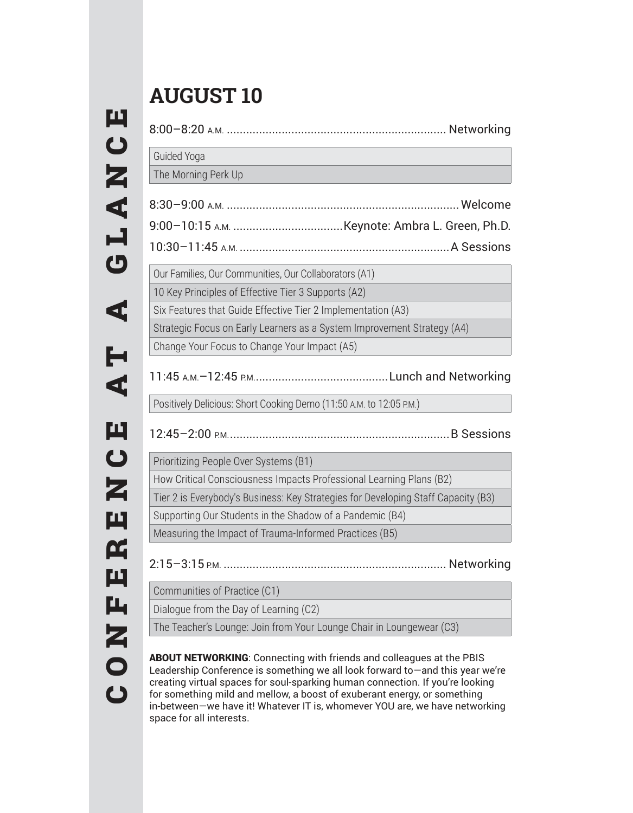## щ **conference at a glance**GLANC  $\blacktriangleleft$ AT. RENCE **ULNOU**

**AUGUST 10**

| Guided Yoga                                                         |                                                                                   |
|---------------------------------------------------------------------|-----------------------------------------------------------------------------------|
| The Morning Perk Up                                                 |                                                                                   |
|                                                                     |                                                                                   |
|                                                                     |                                                                                   |
|                                                                     |                                                                                   |
|                                                                     |                                                                                   |
| Our Families, Our Communities, Our Collaborators (A1)               |                                                                                   |
| 10 Key Principles of Effective Tier 3 Supports (A2)                 |                                                                                   |
| Six Features that Guide Effective Tier 2 Implementation (A3)        |                                                                                   |
|                                                                     | Strategic Focus on Early Learners as a System Improvement Strategy (A4)           |
| Change Your Focus to Change Your Impact (A5)                        |                                                                                   |
|                                                                     |                                                                                   |
| Positively Delicious: Short Cooking Demo (11:50 A.M. to 12:05 P.M.) |                                                                                   |
|                                                                     |                                                                                   |
| Prioritizing People Over Systems (B1)                               |                                                                                   |
|                                                                     | How Critical Consciousness Impacts Professional Learning Plans (B2)               |
|                                                                     | Tier 2 is Everybody's Business: Key Strategies for Developing Staff Capacity (B3) |
| Supporting Our Students in the Shadow of a Pandemic (B4)            |                                                                                   |
| Measuring the Impact of Trauma-Informed Practices (B5)              |                                                                                   |
|                                                                     |                                                                                   |
| Communities of Practice (C1)                                        |                                                                                   |
| $2:15-3:15$ PM.<br>Dialogue from the Day of Learning (C2)           |                                                                                   |

ABOUT NETWORKING: Connecting with friends and colleagues at the PBIS Leadership Conference is something we all look forward to—and this year we're creating virtual spaces for soul-sparking human connection. If you're looking for something mild and mellow, a boost of exuberant energy, or something in-between—we have it! Whatever IT is, whomever YOU are, we have networking space for all interests.